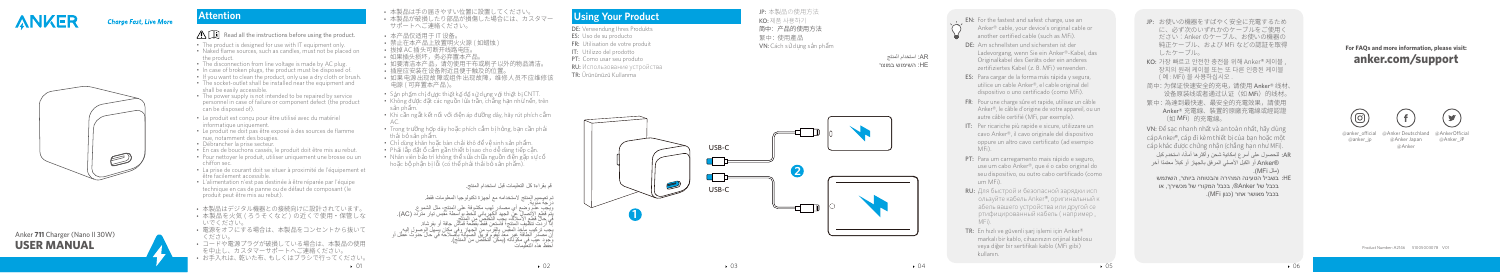

**USER MANUAL** Anker **711** Charger (Nano II 30W)

## **Charge Fast, Live More**

D

# **Attention**

## $\bigwedge \widehat{I}$  Read all the instructions before using the product.

- The product is designed for use with IT equipment only.
- Naked flame sources, such as candles, must not be placed on the product.
- The disconnection from line voltage is made by AC plug.
- In case of broken plugs, the product must be disposed of
- If you want to clean the product, only use a dry cloth or brush.
- The socket-outlet shall be installed near the equipment and shall be easily accessible.
- The power supply is not intended to be repaired by service personnel in case of failure or component defect (the product can be disposed of).
- Le produit est conçu pour être utilisé avec du matériel informatique uniquement.
- Le produit ne doit pas être exposé à des sources de flamme nue, notamment des bougies.
- Débrancher la prise secteur.
- En cas de bouchons cassés, le produit doit être mis au rebut.
- Pour nettoyer le produit, utiliser uniquement une brosse ou un chiffon sec.
- La prise de courant doit se situer à proximité de l'équipement et être facilement accessible.
- L'alimentation n'est pas destinée à être réparée par l'équipe technique en cas de panne ou de défaut de composant (le produit peut être mis au rebut).
- • 本製品はデジタル機器との接続向けに設計されています。 • 本製品を火気 (ろうそくなど) の近くで使用・保管しな いでください。
- • 電源をオフにする場合は、本製品をコンセントから抜いて ください。
- • コードや電源プラグが破損している場合は、本製品の使用 を中止し、カスタマーサポートへご連絡ください。 • お手入れは、乾いた布、もしくはブラシで行ってください。
- 
- 本製品は于の届きやすい位置に設置してください。<br>• 本製品が破損したり部品が損傷した場合には、カスタマー サポートへご連絡ください。
- 本产品仅适用于 IT 设备。
- 禁止在本产品上放置明火火源 ( 如蜡烛 )
- 
- 拔掉 AC 插头可断开线路电压。<br>• 如果插头损坏,务必弃置本产品。
- 如来描天坝小,穷必开直本广品。<br>• 如要清洁本产品,请勿使用干布或刷子以外的物品清洁。
- 插座应安装在设备附近且便于触及的位置。
- 如果电源出现故障或组件出现故障,维修人员不应维修该 电源 ( 可弃置本产品 )。
- Sán phẩm chỉ được thiết kế để sứ dụng với thiết bị CNTT.
- Không được đặt các nguồn lứa trần, chăng hạn như nền, trên s ản ph ẩm.
- $\cdot$  Khi cân ngăt kết nối với điện áp đường dây, hãy rút phích căm
- AC. Trong trường h ợp dây ho ặc phích c ắm b ị h ỏng, b ạn c ần ph ải th ải b ỏ s ản ph ẩm.
- Ch ỉ dùng khăn ho ặc bàn ch ải khô đ ể v ệ sinh s ản ph ẩm.
- Ph ải l ắp đ ặt ổ c ắm g ần thi ết b ị sao cho d ễ dàng ti ếp c ận.
- Nhân viên bảo trì không thể sửa chữa nguồn điện gặp sự cố hoặc bộ phận bị lôi (có thể phái thái bó sán phẩm).
- JP: お使いの機器をすばやく安全に充電するため に、必ず次のいずれかのケーブルをご使用く ださい:Anker のケーブル、お使いの機器の 純正ケーブル、および MFi などの認証を取得 したケーブル。
- KO: 가장 빠르고 안전한 충전을 위해 Anker® 케이블 장치의 원래 케이블 또는 또 다른 인증된 케이블 ( 예 : MFi) 을 사용하십시오 .
- 简中:为保证快速安全的充电,请使用 Anker® 线材、 设备原装线或者通过认证(如 MFi)的线材。
- 繁中:為達到最快速、最安全的充電效果,請使用 Anker® 充電線、裝置的原廠充電線或經認證 (如 MFi)的充電線。

قم بقراءة كل التعليمات قبل استخدام المنتج.

تم تصميم المنتج لاستخدامه مع أجهزة تكنولوجيا المعلومات فقط.<br>درجة مئوية.<br>ويجب عدم وضبع أي مصادر لهب مكشوفة علم, المنتج, مثل الشمه ع. ذرجة منونية – كان مصادر لهيه مكثوفة على المنتج، مثل الشعرع.<br>يتوفيه منونية – كان ما لعبد الكبر الذي تدفع المناسب من تيار متردد (AC).<br>يتوفيه التصالي عن الجهد المناسب القرب المناسب و مكان يسهل المن منزلد (AC).<br>إنَّ أَن تَرَك

- AR: للحصول على اسرع إمكانية شحن واكثر ها امانا، استخدم كبل ֺ֖֖֖֖֖֖֖֖֖֖֖֖֖֖֖֧֚֚֚֚֚֚֚֚֚֚֚֚֚֚֚֚֚֝֬֝֬֝֬֝֬<u>֚</u><br>֧֪֩֩֩ ً معتمدا آخر RAnker أو الكبل األصلي المرفق بالجهاز أو كبال ً )مثل MFi).
- בשביל הטעינה המהירה והבטוחה ביותר, השתמש :HE בכבל של Anker®, בכבל המקורי של מכשירך, או בכבל מאושר אחר )כגון MFi).

@Anker Deutschland @anker\_ocial @Anker Japan @anker\_ip

@AnkerOfficial @Anker\_JP

# **Using Your Product**

- DE: Verwendung Ihres Produkts
- ES: Uso de su producto
- FR: Utilisation de votre produit
- IT: Utilizzo del prodotto
- PT: Como usar seu produto
- RU: Использование устройства
- TR: Ürününüzü Kullanma









- EN: For the fastest and safest charge, use an Anker® cable, your device's original cable or another certified cable (such as MFi).
- DE: Am schnellsten und sichersten ist der Ladevorgang, wenn Sie ein Anker®-Kabel, das Originalkabel des Geräts oder ein anderes zertifiziertes Kabel (z. B. MFi) verwenden.
- ES: Para cargar de la forma más rápida y segura, utilice un cable Anker®, el cable original del dispositivo o uno certificado (como MFi).
- FR : Pour une charge sûre et rapide, utilisez un câble Anker®, le câble d'origine de votre appareil, ou un autre câble certifié (MFi, par exemple).
- IT: Per ricariche più rapide e sicure, utilizzare un cavo Anker®, il cavo originale del dispositivo oppure un altro cavo certificato (ad esempio MFi).
- PT: Para um carregamento mais rápido e seguro, use um cabo Anker®, que é o cabo original do seu dispositivo, ou outro cabo certificado (como um MFi).
- RU: Для быстрой и безопасной зарядки исп ользуйте кабель Anker®, оригинальный к абель вашего устройства или другой се ртифицированный кабель ( например , MFi).
- TR: En hızlı ve güvenli şarj işlemi için Anker® markalı bir kablo, cihazınızın orijinal kablosu veya diğer bir sertifikalı kablo (MFi gibi) kullanın.

VN: Để sạc nhanh nhất và an toàn nhất, hãy dùng cáp Anker®, cáp đi kèm thiết bị của bạn hoặc một cáp khác được chứng nhận (chẳng hạn như MFi).

Product Number: A2146 51005003078 V01

## **For FAQs and mo re in formation, please visit: an k e r. com /suppo r t**



@Anker